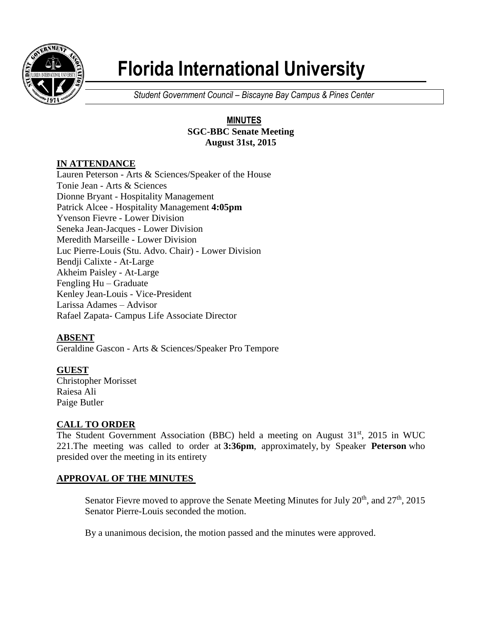

# **Florida International University**

*Student Government Council – Biscayne Bay Campus & Pines Center*

## **MINUTES SGC-BBC Senate Meeting August 31st, 2015**

# **IN ATTENDANCE**

Lauren Peterson - Arts & Sciences/Speaker of the House Tonie Jean - Arts & Sciences Dionne Bryant - Hospitality Management Patrick Alcee - Hospitality Management **4:05pm** Yvenson Fievre - Lower Division Seneka Jean-Jacques - Lower Division Meredith Marseille - Lower Division Luc Pierre-Louis (Stu. Advo. Chair) - Lower Division Bendji Calixte - At-Large Akheim Paisley - At-Large Fengling Hu – Graduate Kenley Jean-Louis - Vice-President Larissa Adames – Advisor Rafael Zapata- Campus Life Associate Director

# **ABSENT**

Geraldine Gascon - Arts & Sciences/Speaker Pro Tempore

**GUEST** Christopher Morisset Raiesa Ali Paige Butler

## **CALL TO ORDER**

The Student Government Association (BBC) held a meeting on August 31<sup>st</sup>, 2015 in WUC 221.The meeting was called to order at **3:36pm**, approximately, by Speaker **Peterson** who presided over the meeting in its entirety

## **APPROVAL OF THE MINUTES**

Senator Fievre moved to approve the Senate Meeting Minutes for July  $20<sup>th</sup>$ , and  $27<sup>th</sup>$ ,  $2015$ Senator Pierre-Louis seconded the motion.

By a unanimous decision, the motion passed and the minutes were approved.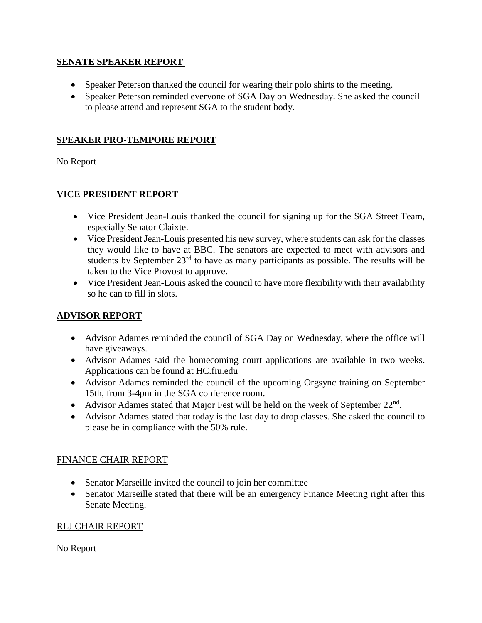#### **SENATE SPEAKER REPORT**

- Speaker Peterson thanked the council for wearing their polo shirts to the meeting.
- Speaker Peterson reminded everyone of SGA Day on Wednesday. She asked the council to please attend and represent SGA to the student body.

#### **SPEAKER PRO-TEMPORE REPORT**

No Report

## **VICE PRESIDENT REPORT**

- Vice President Jean-Louis thanked the council for signing up for the SGA Street Team, especially Senator Claixte.
- Vice President Jean-Louis presented his new survey, where students can ask for the classes they would like to have at BBC. The senators are expected to meet with advisors and students by September  $23<sup>rd</sup>$  to have as many participants as possible. The results will be taken to the Vice Provost to approve.
- Vice President Jean-Louis asked the council to have more flexibility with their availability so he can to fill in slots.

## **ADVISOR REPORT**

- Advisor Adames reminded the council of SGA Day on Wednesday, where the office will have giveaways.
- Advisor Adames said the homecoming court applications are available in two weeks. Applications can be found at HC.fiu.edu
- Advisor Adames reminded the council of the upcoming Orgsync training on September 15th, from 3-4pm in the SGA conference room.
- Advisor Adames stated that Major Fest will be held on the week of September  $22<sup>nd</sup>$ .
- Advisor Adames stated that today is the last day to drop classes. She asked the council to please be in compliance with the 50% rule.

## FINANCE CHAIR REPORT

- Senator Marseille invited the council to join her committee
- Senator Marseille stated that there will be an emergency Finance Meeting right after this Senate Meeting.

## RLJ CHAIR REPORT

No Report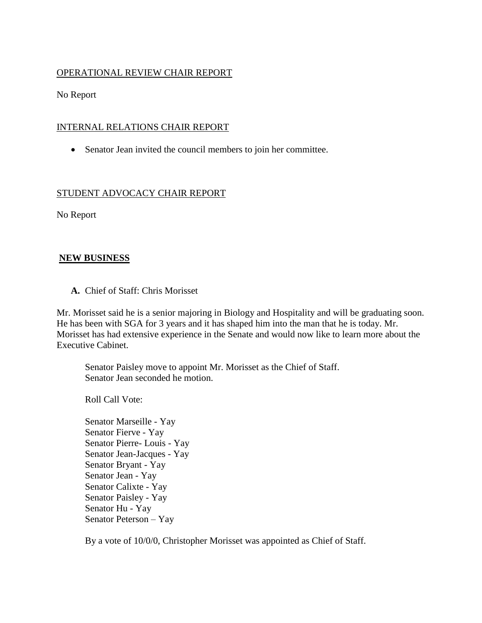#### OPERATIONAL REVIEW CHAIR REPORT

No Report

#### INTERNAL RELATIONS CHAIR REPORT

Senator Jean invited the council members to join her committee.

## STUDENT ADVOCACY CHAIR REPORT

No Report

#### **NEW BUSINESS**

**A.** Chief of Staff: Chris Morisset

Mr. Morisset said he is a senior majoring in Biology and Hospitality and will be graduating soon. He has been with SGA for 3 years and it has shaped him into the man that he is today. Mr. Morisset has had extensive experience in the Senate and would now like to learn more about the Executive Cabinet.

Senator Paisley move to appoint Mr. Morisset as the Chief of Staff. Senator Jean seconded he motion.

Roll Call Vote:

Senator Marseille - Yay Senator Fierve - Yay Senator Pierre- Louis - Yay Senator Jean-Jacques - Yay Senator Bryant - Yay Senator Jean - Yay Senator Calixte - Yay Senator Paisley - Yay Senator Hu - Yay Senator Peterson – Yay

By a vote of 10/0/0, Christopher Morisset was appointed as Chief of Staff.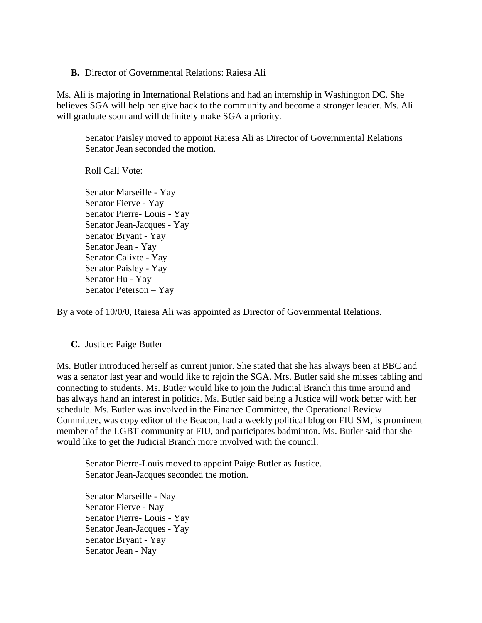**B.** Director of Governmental Relations: Raiesa Ali

Ms. Ali is majoring in International Relations and had an internship in Washington DC. She believes SGA will help her give back to the community and become a stronger leader. Ms. Ali will graduate soon and will definitely make SGA a priority.

Senator Paisley moved to appoint Raiesa Ali as Director of Governmental Relations Senator Jean seconded the motion.

Roll Call Vote:

Senator Marseille - Yay Senator Fierve - Yay Senator Pierre- Louis - Yay Senator Jean-Jacques - Yay Senator Bryant - Yay Senator Jean - Yay Senator Calixte - Yay Senator Paisley - Yay Senator Hu - Yay Senator Peterson – Yay

By a vote of 10/0/0, Raiesa Ali was appointed as Director of Governmental Relations.

#### **C.** Justice: Paige Butler

Ms. Butler introduced herself as current junior. She stated that she has always been at BBC and was a senator last year and would like to rejoin the SGA. Mrs. Butler said she misses tabling and connecting to students. Ms. Butler would like to join the Judicial Branch this time around and has always hand an interest in politics. Ms. Butler said being a Justice will work better with her schedule. Ms. Butler was involved in the Finance Committee, the Operational Review Committee, was copy editor of the Beacon, had a weekly political blog on FIU SM, is prominent member of the LGBT community at FIU, and participates badminton. Ms. Butler said that she would like to get the Judicial Branch more involved with the council.

Senator Pierre-Louis moved to appoint Paige Butler as Justice. Senator Jean-Jacques seconded the motion.

Senator Marseille - Nay Senator Fierve - Nay Senator Pierre- Louis - Yay Senator Jean-Jacques - Yay Senator Bryant - Yay Senator Jean - Nay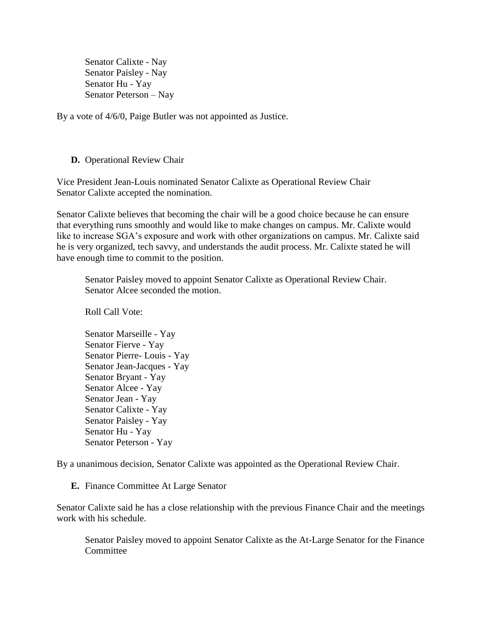Senator Calixte - Nay Senator Paisley - Nay Senator Hu - Yay Senator Peterson – Nay

By a vote of 4/6/0, Paige Butler was not appointed as Justice.

#### **D.** Operational Review Chair

Vice President Jean-Louis nominated Senator Calixte as Operational Review Chair Senator Calixte accepted the nomination.

Senator Calixte believes that becoming the chair will be a good choice because he can ensure that everything runs smoothly and would like to make changes on campus. Mr. Calixte would like to increase SGA's exposure and work with other organizations on campus. Mr. Calixte said he is very organized, tech savvy, and understands the audit process. Mr. Calixte stated he will have enough time to commit to the position.

Senator Paisley moved to appoint Senator Calixte as Operational Review Chair. Senator Alcee seconded the motion.

Roll Call Vote:

Senator Marseille - Yay Senator Fierve - Yay Senator Pierre- Louis - Yay Senator Jean-Jacques - Yay Senator Bryant - Yay Senator Alcee - Yay Senator Jean - Yay Senator Calixte - Yay Senator Paisley - Yay Senator Hu - Yay Senator Peterson - Yay

By a unanimous decision, Senator Calixte was appointed as the Operational Review Chair.

**E.** Finance Committee At Large Senator

Senator Calixte said he has a close relationship with the previous Finance Chair and the meetings work with his schedule.

Senator Paisley moved to appoint Senator Calixte as the At-Large Senator for the Finance **Committee**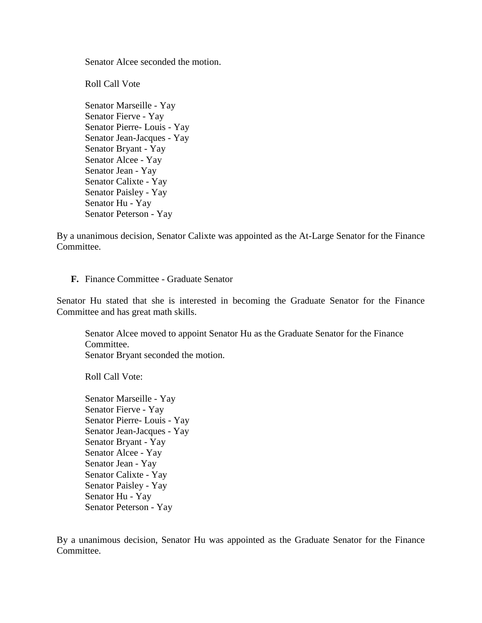Senator Alcee seconded the motion.

Roll Call Vote

Senator Marseille - Yay Senator Fierve - Yay Senator Pierre- Louis - Yay Senator Jean-Jacques - Yay Senator Bryant - Yay Senator Alcee - Yay Senator Jean - Yay Senator Calixte - Yay Senator Paisley - Yay Senator Hu - Yay Senator Peterson - Yay

By a unanimous decision, Senator Calixte was appointed as the At-Large Senator for the Finance Committee.

#### **F.** Finance Committee - Graduate Senator

Senator Hu stated that she is interested in becoming the Graduate Senator for the Finance Committee and has great math skills.

Senator Alcee moved to appoint Senator Hu as the Graduate Senator for the Finance Committee. Senator Bryant seconded the motion.

Roll Call Vote:

Senator Marseille - Yay Senator Fierve - Yay Senator Pierre- Louis - Yay Senator Jean-Jacques - Yay Senator Bryant - Yay Senator Alcee - Yay Senator Jean - Yay Senator Calixte - Yay Senator Paisley - Yay Senator Hu - Yay Senator Peterson - Yay

By a unanimous decision, Senator Hu was appointed as the Graduate Senator for the Finance Committee.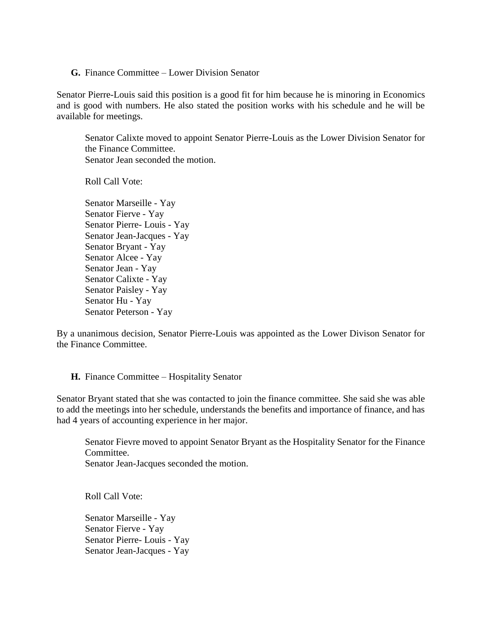**G.** Finance Committee – Lower Division Senator

Senator Pierre-Louis said this position is a good fit for him because he is minoring in Economics and is good with numbers. He also stated the position works with his schedule and he will be available for meetings.

Senator Calixte moved to appoint Senator Pierre-Louis as the Lower Division Senator for the Finance Committee. Senator Jean seconded the motion.

Roll Call Vote:

Senator Marseille - Yay Senator Fierve - Yay Senator Pierre- Louis - Yay Senator Jean-Jacques - Yay Senator Bryant - Yay Senator Alcee - Yay Senator Jean - Yay Senator Calixte - Yay Senator Paisley - Yay Senator Hu - Yay Senator Peterson - Yay

By a unanimous decision, Senator Pierre-Louis was appointed as the Lower Divison Senator for the Finance Committee.

#### **H.** Finance Committee – Hospitality Senator

Senator Bryant stated that she was contacted to join the finance committee. She said she was able to add the meetings into her schedule, understands the benefits and importance of finance, and has had 4 years of accounting experience in her major.

Senator Fievre moved to appoint Senator Bryant as the Hospitality Senator for the Finance Committee. Senator Jean-Jacques seconded the motion.

Roll Call Vote:

Senator Marseille - Yay Senator Fierve - Yay Senator Pierre- Louis - Yay Senator Jean-Jacques - Yay